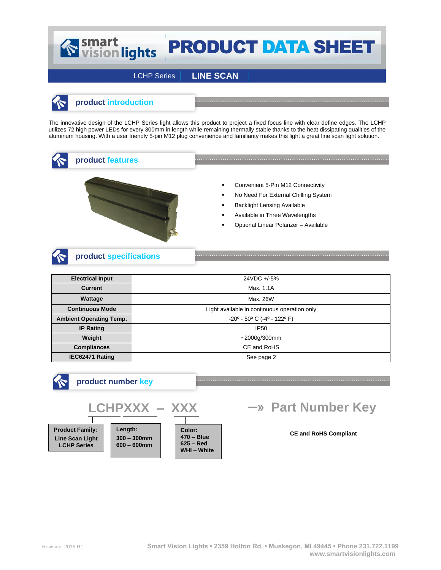# Smart<br>
vision lights **PRODUCT DATA SHEET**

LCHP Series **LINE SCAN**



## **product introduction**

The innovative design of the LCHP Series light allows this product to project a fixed focus line with clear define edges. The LCHP utilizes 72 high power LEDs for every 300mm in length while remaining thermally stable thanks to the heat dissipating qualities of the aluminum housing. With a user friendly 5-pin M12 plug convenience and familiarity makes this light a great line scan light solution.



**product features**



- Convenient 5-Pin M12 Connectivity
- No Need For External Chilling System
- Backlight Lensing Available
- Available in Three Wavelengths
- Optional Linear Polarizer Available

# **product specifications**

| <b>Electrical Input</b>        | 24VDC +/-5%                                  |
|--------------------------------|----------------------------------------------|
| <b>Current</b>                 | Max. 1.1A                                    |
| Wattage                        | Max. 26W                                     |
| <b>Continuous Mode</b>         | Light available in continuous operation only |
| <b>Ambient Operating Temp.</b> | $-20^{\circ}$ - 50° C (-4° - 122° F)         |
| <b>IP Rating</b>               | <b>IP50</b>                                  |
| Weight                         | $~12000$ g/300mm                             |
| <b>Compliances</b>             | CE and RoHS                                  |
| IEC62471 Rating                | See page 2                                   |



### **product number key**



# **->> Part Number Key**

#### **CE and RoHS Compliant**